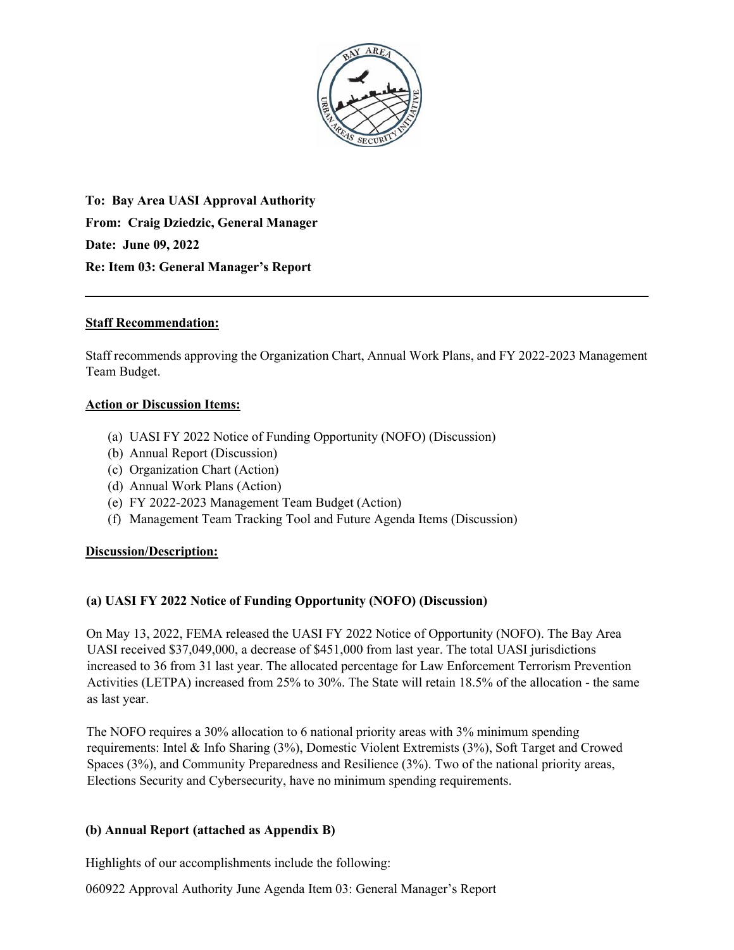

**To: Bay Area UASI Approval Authority From: Craig Dziedzic, General Manager Date: June 09, 2022 Re: Item 03: General Manager's Report** 

# **Staff Recommendation:**

Staff recommends approving the Organization Chart, Annual Work Plans, and FY 2022-2023 Management Team Budget.

# **Action or Discussion Items:**

- (a) UASI FY 2022 Notice of Funding Opportunity (NOFO) (Discussion)
- (b) Annual Report (Discussion)
- (c) Organization Chart (Action)
- (d) Annual Work Plans (Action)
- (e) FY 2022-2023 Management Team Budget (Action)
- (f) Management Team Tracking Tool and Future Agenda Items (Discussion)

#### **Discussion/Description:**

# **(a) UASI FY 2022 Notice of Funding Opportunity (NOFO) (Discussion)**

On May 13, 2022, FEMA released the UASI FY 2022 Notice of Opportunity (NOFO). The Bay Area UASI received \$37,049,000, a decrease of \$451,000 from last year. The total UASI jurisdictions increased to 36 from 31 last year. The allocated percentage for Law Enforcement Terrorism Prevention Activities (LETPA) increased from 25% to 30%. The State will retain 18.5% of the allocation - the same as last year.

The NOFO requires a 30% allocation to 6 national priority areas with 3% minimum spending requirements: Intel & Info Sharing (3%), Domestic Violent Extremists (3%), Soft Target and Crowed Spaces (3%), and Community Preparedness and Resilience (3%). Two of the national priority areas, Elections Security and Cybersecurity, have no minimum spending requirements.

#### **(b) Annual Report (attached as Appendix B)**

Highlights of our accomplishments include the following:

060922 Approval Authority June Agenda Item 03: General Manager's Report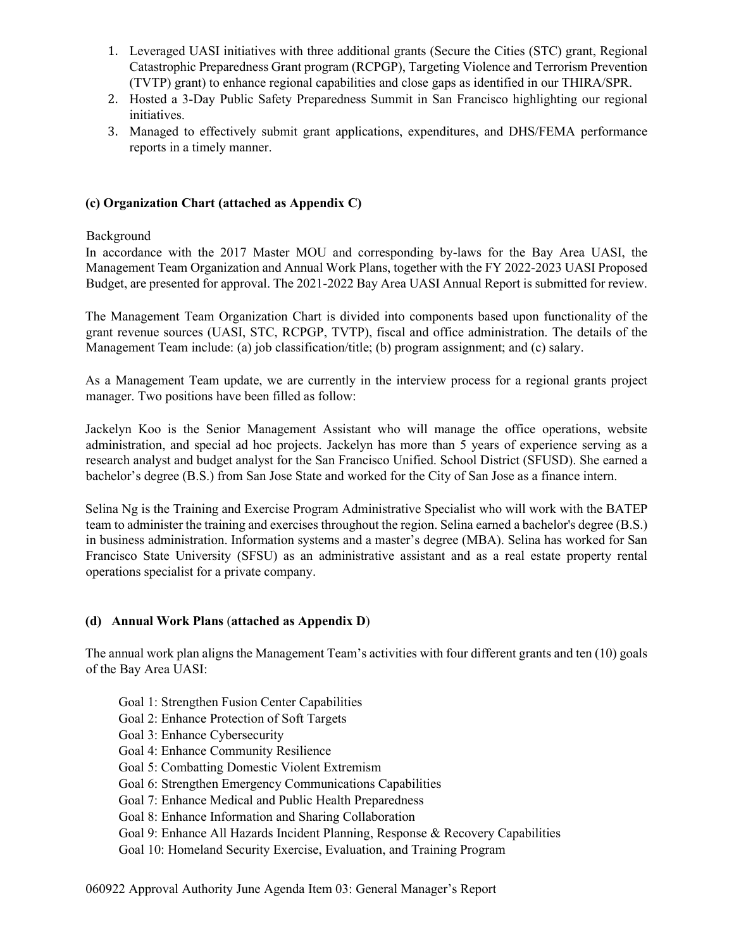- 1. Leveraged UASI initiatives with three additional grants (Secure the Cities (STC) grant, Regional Catastrophic Preparedness Grant program (RCPGP), Targeting Violence and Terrorism Prevention (TVTP) grant) to enhance regional capabilities and close gaps as identified in our THIRA/SPR.
- 2. Hosted a 3-Day Public Safety Preparedness Summit in San Francisco highlighting our regional initiatives.
- 3. Managed to effectively submit grant applications, expenditures, and DHS/FEMA performance reports in a timely manner.

## **(c) Organization Chart (attached as Appendix C)**

### Background

In accordance with the 2017 Master MOU and corresponding by-laws for the Bay Area UASI, the Management Team Organization and Annual Work Plans, together with the FY 2022-2023 UASI Proposed Budget, are presented for approval. The 2021-2022 Bay Area UASI Annual Report is submitted for review.

The Management Team Organization Chart is divided into components based upon functionality of the grant revenue sources (UASI, STC, RCPGP, TVTP), fiscal and office administration. The details of the Management Team include: (a) job classification/title; (b) program assignment; and (c) salary.

As a Management Team update, we are currently in the interview process for a regional grants project manager. Two positions have been filled as follow:

Jackelyn Koo is the Senior Management Assistant who will manage the office operations, website administration, and special ad hoc projects. Jackelyn has more than 5 years of experience serving as a research analyst and budget analyst for the San Francisco Unified. School District (SFUSD). She earned a bachelor's degree (B.S.) from San Jose State and worked for the City of San Jose as a finance intern.

Selina Ng is the Training and Exercise Program Administrative Specialist who will work with the BATEP team to administer the training and exercises throughout the region. Selina earned a bachelor's degree (B.S.) in business administration. Information systems and a master's degree (MBA). Selina has worked for San Francisco State University (SFSU) as an administrative assistant and as a real estate property rental operations specialist for a private company.

### **(d) Annual Work Plans** (**attached as Appendix D**)

The annual work plan aligns the Management Team's activities with four different grants and ten (10) goals of the Bay Area UASI:

- Goal 1: Strengthen Fusion Center Capabilities
- Goal 2: Enhance Protection of Soft Targets
- Goal 3: Enhance Cybersecurity
- Goal 4: Enhance Community Resilience
- Goal 5: Combatting Domestic Violent Extremism
- Goal 6: Strengthen Emergency Communications Capabilities
- Goal 7: Enhance Medical and Public Health Preparedness
- Goal 8: Enhance Information and Sharing Collaboration
- Goal 9: Enhance All Hazards Incident Planning, Response & Recovery Capabilities

Goal 10: Homeland Security Exercise, Evaluation, and Training Program